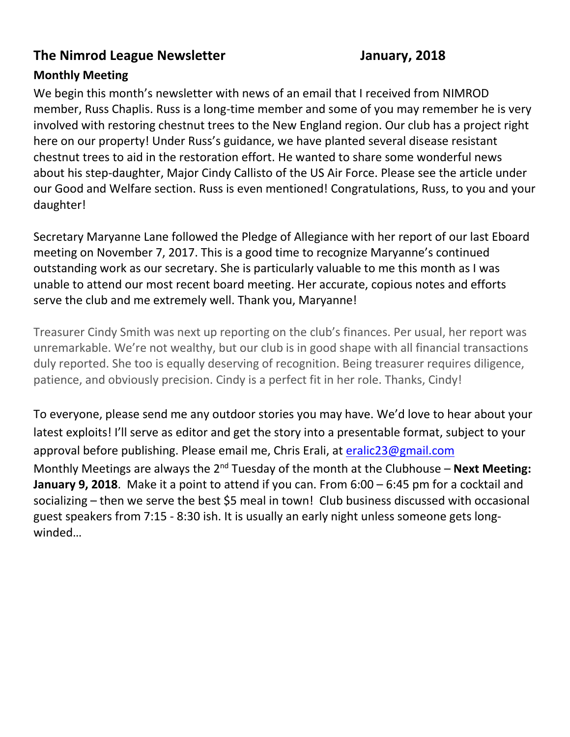#### **The Nimrod League Newsletter Manuary, 2018**

#### **Monthly Meeting**

We begin this month's newsletter with news of an email that I received from NIMROD member, Russ Chaplis. Russ is a long-time member and some of you may remember he is very involved with restoring chestnut trees to the New England region. Our club has a project right here on our property! Under Russ's guidance, we have planted several disease resistant chestnut trees to aid in the restoration effort. He wanted to share some wonderful news about his step-daughter, Major Cindy Callisto of the US Air Force. Please see the article under our Good and Welfare section. Russ is even mentioned! Congratulations, Russ, to you and your daughter!

Secretary Maryanne Lane followed the Pledge of Allegiance with her report of our last Eboard meeting on November 7, 2017. This is a good time to recognize Maryanne's continued outstanding work as our secretary. She is particularly valuable to me this month as I was unable to attend our most recent board meeting. Her accurate, copious notes and efforts serve the club and me extremely well. Thank you, Maryanne!

Treasurer Cindy Smith was next up reporting on the club's finances. Per usual, her report was unremarkable. We're not wealthy, but our club is in good shape with all financial transactions duly reported. She too is equally deserving of recognition. Being treasurer requires diligence, patience, and obviously precision. Cindy is a perfect fit in her role. Thanks, Cindy!

To everyone, please send me any outdoor stories you may have. We'd love to hear about your latest exploits! I'll serve as editor and get the story into a presentable format, subject to your approval before publishing. Please email me, Chris Erali, at [eralic23@gmail.com](mailto:eralic23@gmail.com) Monthly Meetings are always the 2<sup>nd</sup> Tuesday of the month at the Clubhouse – **Next Meeting: January 9, 2018**. Make it a point to attend if you can. From 6:00 – 6:45 pm for a cocktail and socializing – then we serve the best \$5 meal in town! Club business discussed with occasional guest speakers from 7:15 - 8:30 ish. It is usually an early night unless someone gets longwinded…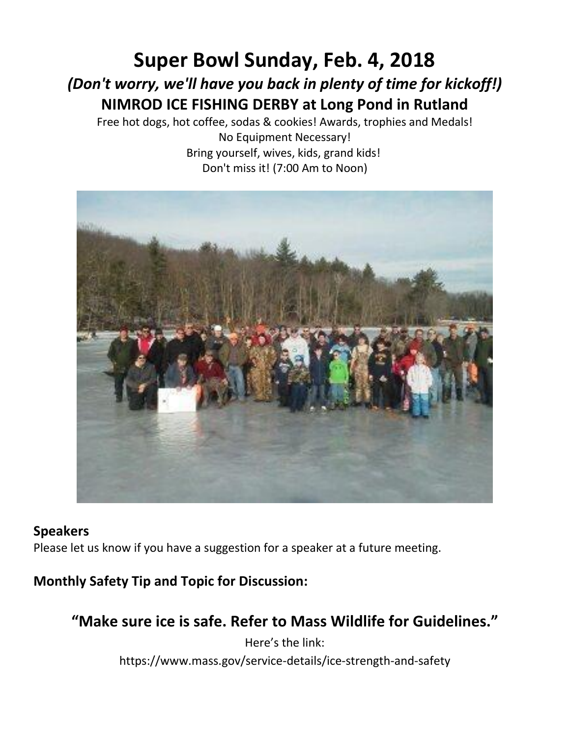# **Super Bowl Sunday, Feb. 4, 2018** *(Don't worry, we'll have you back in plenty of time for kickoff!)* **NIMROD ICE FISHING DERBY at Long Pond in Rutland**

Free hot dogs, hot coffee, sodas & cookies! Awards, trophies and Medals!

No Equipment Necessary! Bring yourself, wives, kids, grand kids! Don't miss it! (7:00 Am to Noon)



#### **Speakers**

Please let us know if you have a suggestion for a speaker at a future meeting.

**Monthly Safety Tip and Topic for Discussion:**

**"Make sure ice is safe. Refer to Mass Wildlife for Guidelines."**

Here's the link: https://www.mass.gov/service-details/ice-strength-and-safety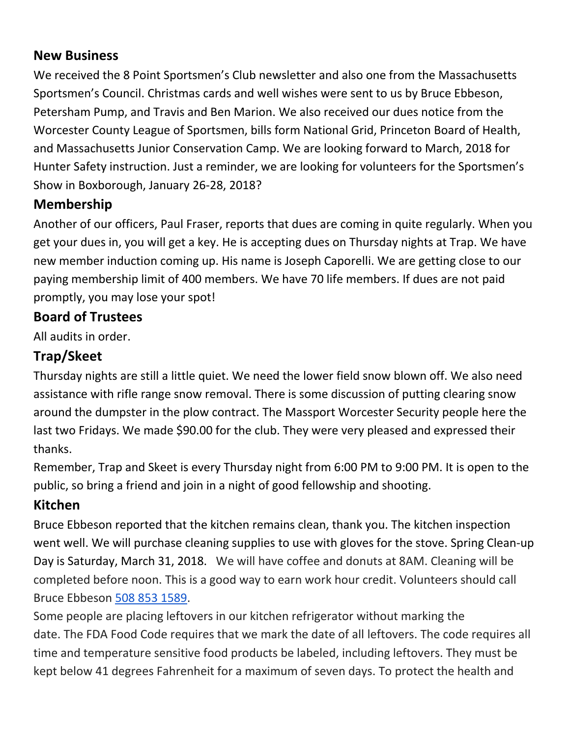#### **New Business**

We received the 8 Point Sportsmen's Club newsletter and also one from the Massachusetts Sportsmen's Council. Christmas cards and well wishes were sent to us by Bruce Ebbeson, Petersham Pump, and Travis and Ben Marion. We also received our dues notice from the Worcester County League of Sportsmen, bills form National Grid, Princeton Board of Health, and Massachusetts Junior Conservation Camp. We are looking forward to March, 2018 for Hunter Safety instruction. Just a reminder, we are looking for volunteers for the Sportsmen's Show in Boxborough, January 26-28, 2018?

#### **Membership**

Another of our officers, Paul Fraser, reports that dues are coming in quite regularly. When you get your dues in, you will get a key. He is accepting dues on Thursday nights at Trap. We have new member induction coming up. His name is Joseph Caporelli. We are getting close to our paying membership limit of 400 members. We have 70 life members. If dues are not paid promptly, you may lose your spot!

#### **Board of Trustees**

All audits in order.

## **Trap/Skeet**

Thursday nights are still a little quiet. We need the lower field snow blown off. We also need assistance with rifle range snow removal. There is some discussion of putting clearing snow around the dumpster in the plow contract. The Massport Worcester Security people here the last two Fridays. We made \$90.00 for the club. They were very pleased and expressed their thanks.

Remember, Trap and Skeet is every Thursday night from 6:00 PM to 9:00 PM. It is open to the public, so bring a friend and join in a night of good fellowship and shooting.

#### **Kitchen**

Bruce Ebbeson reported that the kitchen remains clean, thank you. The kitchen inspection went well. We will purchase cleaning supplies to use with gloves for the stove. Spring Clean-up Day is Saturday, March 31, 2018. We will have coffee and donuts at 8AM. Cleaning will be completed before noon. This is a good way to earn work hour credit. Volunteers should call Bruce Ebbeson [508 853 1589.](tel:508%20853%201589)

Some people are placing leftovers in our kitchen refrigerator without marking the date. The FDA Food Code requires that we mark the date of all leftovers. The code requires all time and temperature sensitive food products be labeled, including leftovers. They must be kept below 41 degrees Fahrenheit for a maximum of seven days. To protect the health and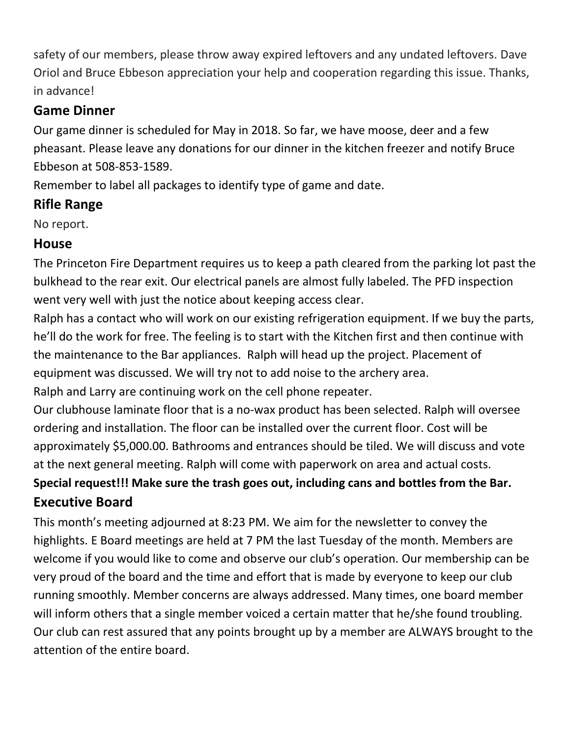safety of our members, please throw away expired leftovers and any undated leftovers. Dave Oriol and Bruce Ebbeson appreciation your help and cooperation regarding this issue. Thanks, in advance!

#### **Game Dinner**

Our game dinner is scheduled for May in 2018. So far, we have moose, deer and a few pheasant. Please leave any donations for our dinner in the kitchen freezer and notify Bruce Ebbeson at 508-853-1589.

Remember to label all packages to identify type of game and date.

## **Rifle Range**

No report.

## **House**

The Princeton Fire Department requires us to keep a path cleared from the parking lot past the bulkhead to the rear exit. Our electrical panels are almost fully labeled. The PFD inspection went very well with just the notice about keeping access clear.

Ralph has a contact who will work on our existing refrigeration equipment. If we buy the parts, he'll do the work for free. The feeling is to start with the Kitchen first and then continue with the maintenance to the Bar appliances. Ralph will head up the project. Placement of equipment was discussed. We will try not to add noise to the archery area. Ralph and Larry are continuing work on the cell phone repeater.

Our clubhouse laminate floor that is a no-wax product has been selected. Ralph will oversee ordering and installation. The floor can be installed over the current floor. Cost will be approximately \$5,000.00. Bathrooms and entrances should be tiled. We will discuss and vote at the next general meeting. Ralph will come with paperwork on area and actual costs.

# **Special request!!! Make sure the trash goes out, including cans and bottles from the Bar. Executive Board**

This month's meeting adjourned at 8:23 PM. We aim for the newsletter to convey the highlights. E Board meetings are held at 7 PM the last Tuesday of the month. Members are welcome if you would like to come and observe our club's operation. Our membership can be very proud of the board and the time and effort that is made by everyone to keep our club running smoothly. Member concerns are always addressed. Many times, one board member will inform others that a single member voiced a certain matter that he/she found troubling. Our club can rest assured that any points brought up by a member are ALWAYS brought to the attention of the entire board.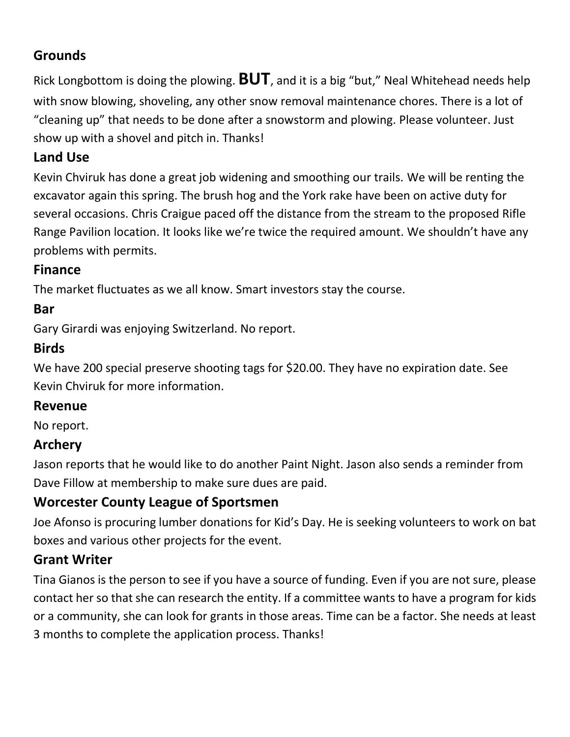### **Grounds**

Rick Longbottom is doing the plowing. **BUT**, and it is a big "but," Neal Whitehead needs help with snow blowing, shoveling, any other snow removal maintenance chores. There is a lot of "cleaning up" that needs to be done after a snowstorm and plowing. Please volunteer. Just show up with a shovel and pitch in. Thanks!

## **Land Use**

Kevin Chviruk has done a great job widening and smoothing our trails. We will be renting the excavator again this spring. The brush hog and the York rake have been on active duty for several occasions. Chris Craigue paced off the distance from the stream to the proposed Rifle Range Pavilion location. It looks like we're twice the required amount. We shouldn't have any problems with permits.

#### **Finance**

The market fluctuates as we all know. Smart investors stay the course.

## **Bar**

Gary Girardi was enjoying Switzerland. No report.

## **Birds**

We have 200 special preserve shooting tags for \$20.00. They have no expiration date. See Kevin Chviruk for more information.

#### **Revenue**

No report.

# **Archery**

Jason reports that he would like to do another Paint Night. Jason also sends a reminder from Dave Fillow at membership to make sure dues are paid.

# **Worcester County League of Sportsmen**

Joe Afonso is procuring lumber donations for Kid's Day. He is seeking volunteers to work on bat boxes and various other projects for the event.

# **Grant Writer**

Tina Gianos is the person to see if you have a source of funding. Even if you are not sure, please contact her so that she can research the entity. If a committee wants to have a program for kids or a community, she can look for grants in those areas. Time can be a factor. She needs at least 3 months to complete the application process. Thanks!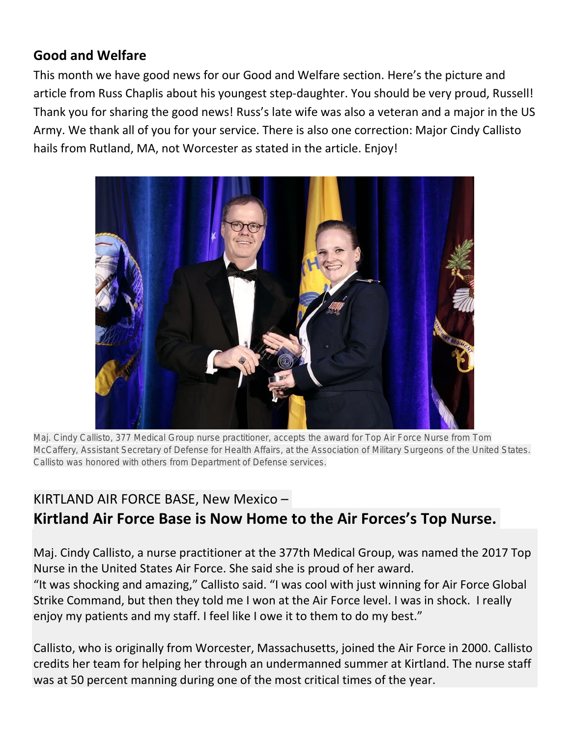#### **Good and Welfare**

This month we have good news for our Good and Welfare section. Here's the picture and article from Russ Chaplis about his youngest step-daughter. You should be very proud, Russell! Thank you for sharing the good news! Russ's late wife was also a veteran and a major in the US Army. We thank all of you for your service. There is also one correction: Major Cindy Callisto hails from Rutland, MA, not Worcester as stated in the article. Enjoy!



**Maj. Cindy Callisto, 377 Medical Group nurse practitioner, accepts the award for Top Air Force Nurse from Tom McCaffery, Assistant Secretary of Defense for Health Affairs, at the Association of Military Surgeons of the United States. Callisto was honored with others from Department of Defense services.**

# KIRTLAND AIR FORCE BASE, New Mexico – **Kirtland Air Force Base is Now Home to the Air Forces's Top Nurse.**

Maj. Cindy Callisto, a nurse practitioner at the 377th Medical Group, was named the 2017 Top Nurse in the United States Air Force. She said she is proud of her award.

"It was shocking and amazing," Callisto said. "I was cool with just winning for Air Force Global Strike Command, but then they told me I won at the Air Force level. I was in shock. I really enjoy my patients and my staff. I feel like I owe it to them to do my best."

Callisto, who is originally from Worcester, Massachusetts, joined the Air Force in 2000. Callisto credits her team for helping her through an undermanned summer at Kirtland. The nurse staff was at 50 percent manning during one of the most critical times of the year.